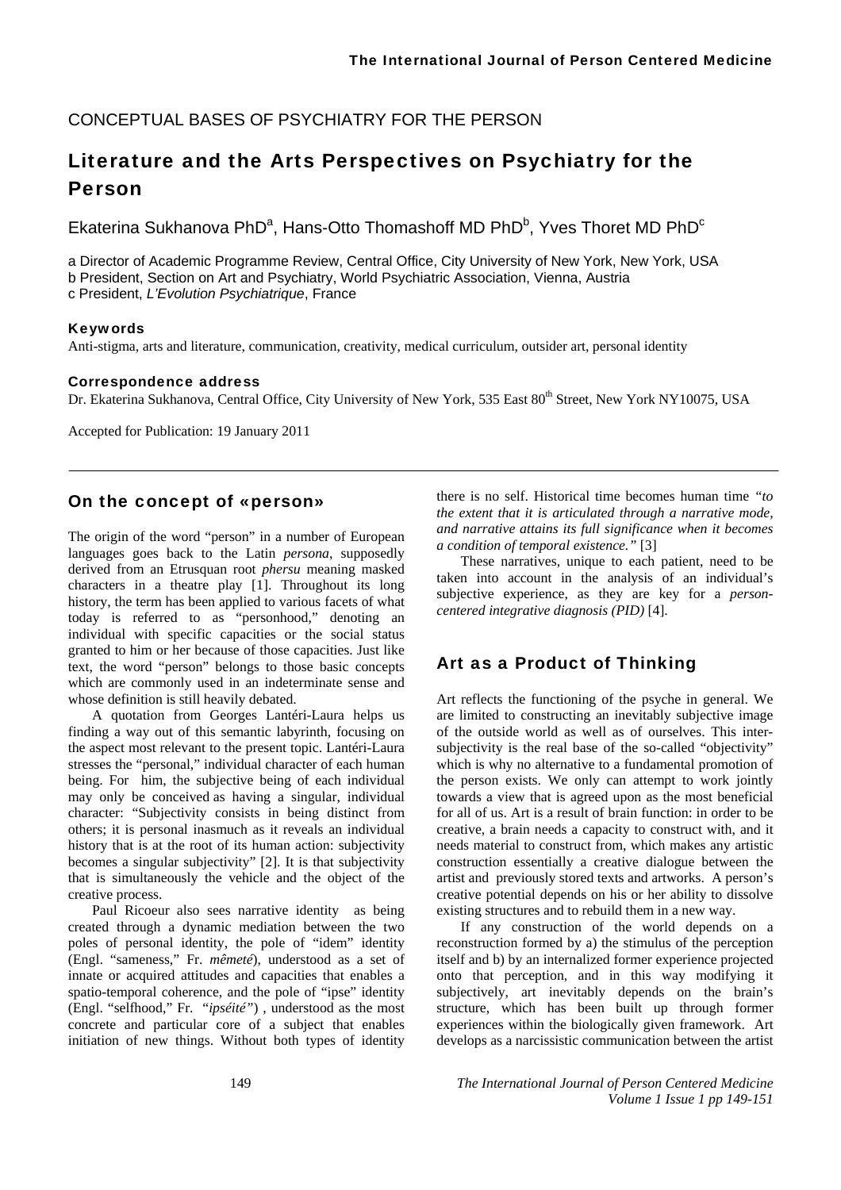### CONCEPTUAL BASES OF PSYCHIATRY FOR THE PERSON

# Literature and the Arts Perspectives on Psychiatry for the Person

Ekaterina Sukhanova PhD<sup>a</sup>, Hans-Otto Thomashoff MD PhD<sup>b</sup>, Yves Thoret MD PhD<sup>c</sup>

a Director of Academic Programme Review, Central Office, City University of New York, New York, USA b President, Section on Art and Psychiatry, World Psychiatric Association, Vienna, Austria c President, *L'Evolution Psychiatrique*, France

#### Keywords

Anti-stigma, arts and literature, communication, creativity, medical curriculum, outsider art, personal identity

#### Correspondence address

Dr. Ekaterina Sukhanova, Central Office, City University of New York, 535 East 80<sup>th</sup> Street, New York NY10075, USA

Accepted for Publication: 19 January 2011

### On the concept of «person»

The origin of the word "person" in a number of European languages goes back to the Latin *persona*, supposedly derived from an Etrusquan root *phersu* meaning masked characters in a theatre play [1]. Throughout its long history, the term has been applied to various facets of what today is referred to as "personhood," denoting an individual with specific capacities or the social status granted to him or her because of those capacities. Just like text, the word "person" belongs to those basic concepts which are commonly used in an indeterminate sense and whose definition is still heavily debated.

A quotation from Georges Lantéri-Laura helps us finding a way out of this semantic labyrinth, focusing on the aspect most relevant to the present topic. Lantéri-Laura stresses the "personal," individual character of each human being. For him, the subjective being of each individual may only be conceived as having a singular, individual character: "Subjectivity consists in being distinct from others; it is personal inasmuch as it reveals an individual history that is at the root of its human action: subjectivity becomes a singular subjectivity" [2]. It is that subjectivity that is simultaneously the vehicle and the object of the creative process.

Paul Ricoeur also sees narrative identity as being created through a dynamic mediation between the two poles of personal identity, the pole of "idem" identity (Engl. "sameness," Fr. *mêmeté*), understood as a set of innate or acquired attitudes and capacities that enables a spatio-temporal coherence, and the pole of "ipse" identity (Engl. "selfhood," Fr. "*ipséité"*) , understood as the most concrete and particular core of a subject that enables initiation of new things. Without both types of identity

there is no self. Historical time becomes human time *"to the extent that it is articulated through a narrative mode, and narrative attains its full significance when it becomes a condition of temporal existence."* [3]

These narratives, unique to each patient, need to be taken into account in the analysis of an individual's subjective experience, as they are key for a *personcentered integrative diagnosis (PID)* [4].

### Art as a Product of Thinking

Art reflects the functioning of the psyche in general. We are limited to constructing an inevitably subjective image of the outside world as well as of ourselves. This intersubjectivity is the real base of the so-called "objectivity" which is why no alternative to a fundamental promotion of the person exists. We only can attempt to work jointly towards a view that is agreed upon as the most beneficial for all of us. Art is a result of brain function: in order to be creative, a brain needs a capacity to construct with, and it needs material to construct from, which makes any artistic construction essentially a creative dialogue between the artist and previously stored texts and artworks. A person's creative potential depends on his or her ability to dissolve existing structures and to rebuild them in a new way.

If any construction of the world depends on a reconstruction formed by a) the stimulus of the perception itself and b) by an internalized former experience projected onto that perception, and in this way modifying it subjectively, art inevitably depends on the brain's structure, which has been built up through former experiences within the biologically given framework. Art develops as a narcissistic communication between the artist

149 *The International Journal of Person Centered Medicine Volume 1 Issue 1 pp 149-151*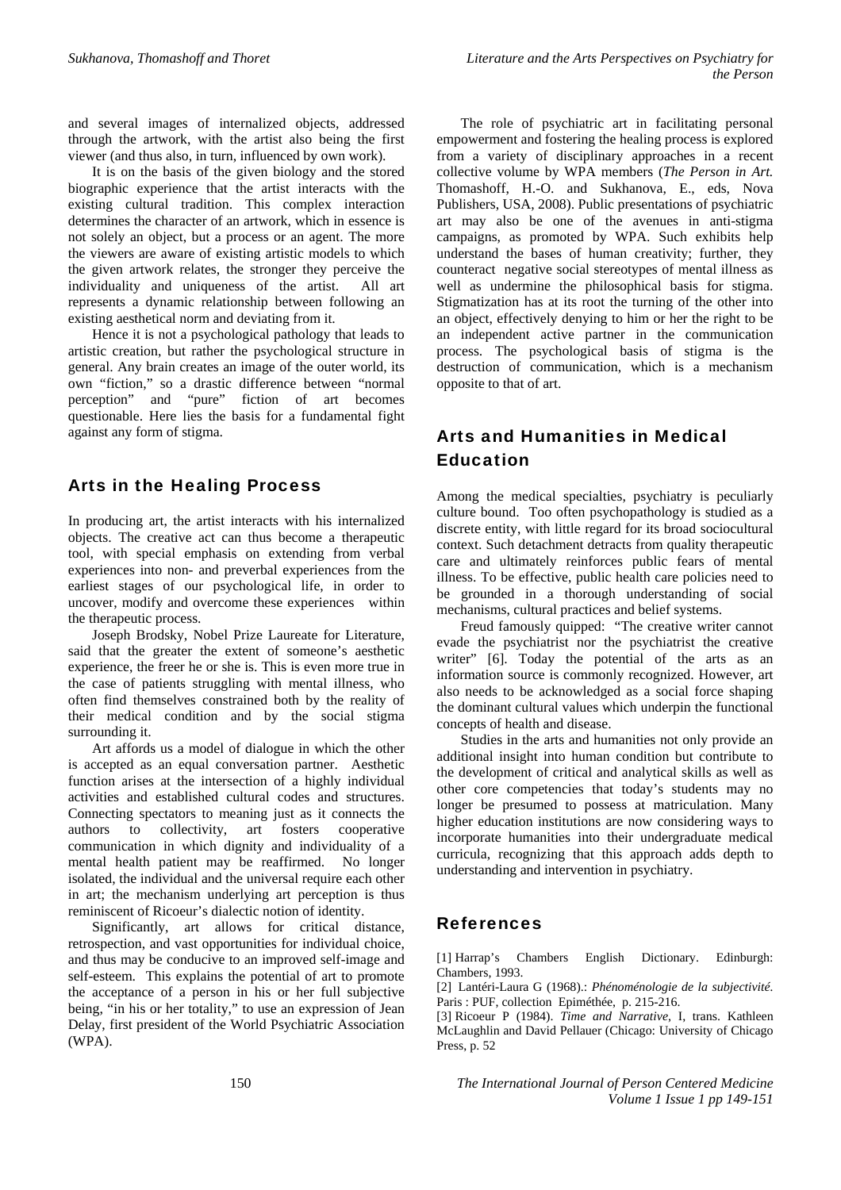and several images of internalized objects, addressed through the artwork, with the artist also being the first viewer (and thus also, in turn, influenced by own work).

It is on the basis of the given biology and the stored biographic experience that the artist interacts with the existing cultural tradition. This complex interaction determines the character of an artwork, which in essence is not solely an object, but a process or an agent. The more the viewers are aware of existing artistic models to which the given artwork relates, the stronger they perceive the individuality and uniqueness of the artist. All art represents a dynamic relationship between following an existing aesthetical norm and deviating from it.

Hence it is not a psychological pathology that leads to artistic creation, but rather the psychological structure in general. Any brain creates an image of the outer world, its own "fiction," so a drastic difference between "normal perception" and "pure" fiction of art becomes questionable. Here lies the basis for a fundamental fight against any form of stigma.

### Arts in the Healing Process

In producing art, the artist interacts with his internalized objects. The creative act can thus become a therapeutic tool, with special emphasis on extending from verbal experiences into non- and preverbal experiences from the earliest stages of our psychological life, in order to uncover, modify and overcome these experiences within the therapeutic process.

Joseph Brodsky, Nobel Prize Laureate for Literature, said that the greater the extent of someone's aesthetic experience, the freer he or she is. This is even more true in the case of patients struggling with mental illness, who often find themselves constrained both by the reality of their medical condition and by the social stigma surrounding it.

Art affords us a model of dialogue in which the other is accepted as an equal conversation partner. Aesthetic function arises at the intersection of a highly individual activities and established cultural codes and structures. Connecting spectators to meaning just as it connects the authors to collectivity, art fosters cooperative communication in which dignity and individuality of a mental health patient may be reaffirmed. No longer isolated, the individual and the universal require each other in art; the mechanism underlying art perception is thus reminiscent of Ricoeur's dialectic notion of identity.

Significantly, art allows for critical distance, retrospection, and vast opportunities for individual choice, and thus may be conducive to an improved self-image and self-esteem. This explains the potential of art to promote the acceptance of a person in his or her full subjective being, "in his or her totality," to use an expression of Jean Delay, first president of the World Psychiatric Association (WPA).

The role of psychiatric art in facilitating personal empowerment and fostering the healing process is explored from a variety of disciplinary approaches in a recent collective volume by WPA members (*The Person in Art.* Thomashoff, H.-O. and Sukhanova, E., eds, Nova Publishers, USA, 2008). Public presentations of psychiatric art may also be one of the avenues in anti-stigma campaigns, as promoted by WPA. Such exhibits help understand the bases of human creativity; further, they counteract negative social stereotypes of mental illness as well as undermine the philosophical basis for stigma. Stigmatization has at its root the turning of the other into an object, effectively denying to him or her the right to be an independent active partner in the communication process. The psychological basis of stigma is the destruction of communication, which is a mechanism opposite to that of art.

## Arts and Humanities in Medical Education

Among the medical specialties, psychiatry is peculiarly culture bound. Too often psychopathology is studied as a discrete entity, with little regard for its broad sociocultural context. Such detachment detracts from quality therapeutic care and ultimately reinforces public fears of mental illness. To be effective, public health care policies need to be grounded in a thorough understanding of social mechanisms, cultural practices and belief systems.

Freud famously quipped: "The creative writer cannot evade the psychiatrist nor the psychiatrist the creative writer" [6]. Today the potential of the arts as an information source is commonly recognized. However, art also needs to be acknowledged as a social force shaping the dominant cultural values which underpin the functional concepts of health and disease.

Studies in the arts and humanities not only provide an additional insight into human condition but contribute to the development of critical and analytical skills as well as other core competencies that today's students may no longer be presumed to possess at matriculation. Many higher education institutions are now considering ways to incorporate humanities into their undergraduate medical curricula, recognizing that this approach adds depth to understanding and intervention in psychiatry.

#### References

[1] Harrap's Chambers English Dictionary. Edinburgh: Chambers, 1993.

[2] Lantéri-Laura G (1968).: *Phénoménologie de la subjectivité.* Paris : PUF, collection Epiméthée, p. 215-216.

[3] Ricoeur P (1984). *Time and Narrative*, I, trans. Kathleen McLaughlin and David Pellauer (Chicago: University of Chicago Press, p. 52

150 *The International Journal of Person Centered Medicine Volume 1 Issue 1 pp 149-151*